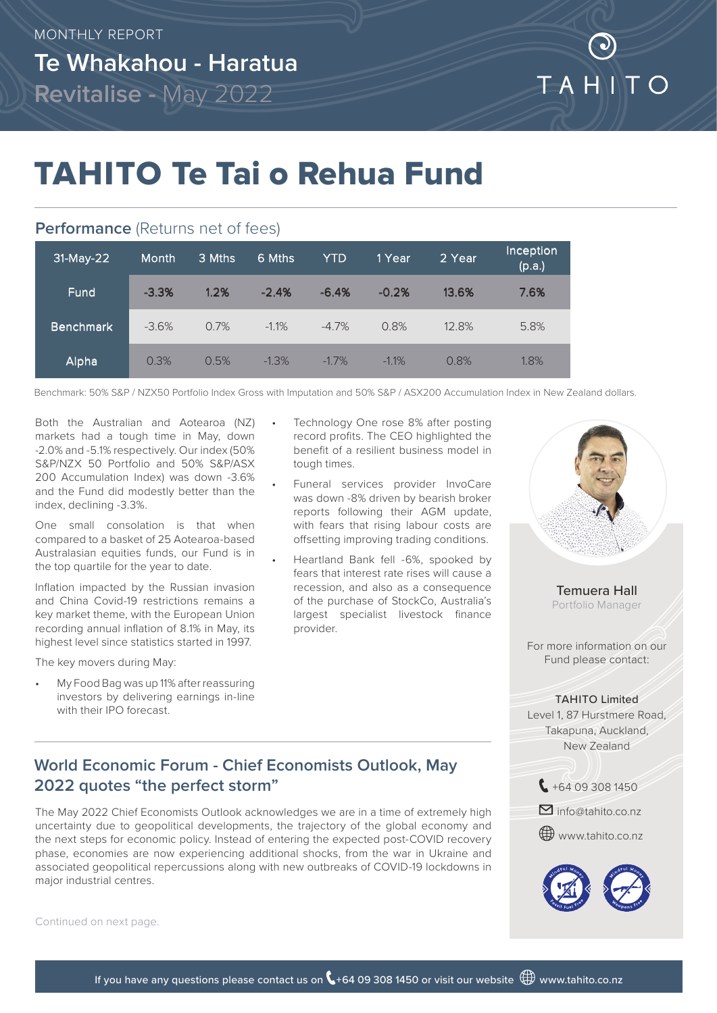# TAHITO Te Tai o Rehua Fund

### **Performance** (Returns net of fees)

| 31-May-22 | <b>Month</b> | 3 Mths | 6 Mths   | <b>YTD</b> | 1 Year   | 2 Year | Inception<br>(p.a.) |
|-----------|--------------|--------|----------|------------|----------|--------|---------------------|
| Fund      | $-3.3%$      | 1.2%   | $-2.4%$  | $-6.4%$    | $-0.2%$  | 13.6%  | 7.6%                |
| Benchmark | $-3.6%$      | 0.7%   | $-1.1\%$ | $-4.7\%$   | 0.8%     | 12.8%  | 5.8%                |
| Alpha     | 0.3%         | 0.5%   | $-1.3%$  | $-1.7\%$   | $-1.1\%$ | 0.8%   | 1.8%                |

Benchmark: 50% S&P / NZX50 Portfolio Index Gross with Imputation and 50% S&P / ASX200 Accumulation Index in New Zealand dollars.

Both the Australian and Aotearoa (NZ) markets had a tough time in May, down -2.0% and -5.1% respectively. Our index (50% S&P/NZX 50 Portfolio and 50% S&P/ASX 200 Accumulation Index) was down -3.6% and the Fund did modestly better than the index, declining -3.3%.

One small consolation is that when compared to a basket of 25 Aotearoa-based Australasian equities funds, our Fund is in the top quartile for the year to date.

Inflation impacted by the Russian invasion and China Covid-19 restrictions remains a key market theme, with the European Union recording annual inflation of 8.1% in May, its highest level since statistics started in 1997.

The key movers during May:

• My Food Bag was up 11% after reassuring investors by delivering earnings in-line with their IPO forecast.

- Technology One rose 8% after posting record profits. The CEO highlighted the benefit of a resilient business model in tough times.
- Funeral services provider InvoCare was down -8% driven by bearish broker reports following their AGM update, with fears that rising labour costs are offsetting improving trading conditions.
- Heartland Bank fell -6%, spooked by fears that interest rate rises will cause a recession, and also as a consequence of the purchase of StockCo, Australia's largest specialist livestock finance provider.

## **World Economic Forum - Chief Economists Outlook, May 2022 quotes "the perfect storm"**

The May 2022 Chief Economists Outlook acknowledges we are in a time of extremely high uncertainty due to geopolitical developments, the trajectory of the global economy and the next steps for economic policy. Instead of entering the expected post-COVID recovery phase, economies are now experiencing additional shocks, from the war in Ukraine and associated geopolitical repercussions along with new outbreaks of COVID-19 lockdowns in major industrial centres.



Temuera Hall Portfolio Manager

For more information on our Fund please contact:

#### TAHITO Limited

Level 1, 87 Hurstmere Road, Takapuna, Auckland, New Zealand



**W** www.tahito.co.nz



Continued on next page.